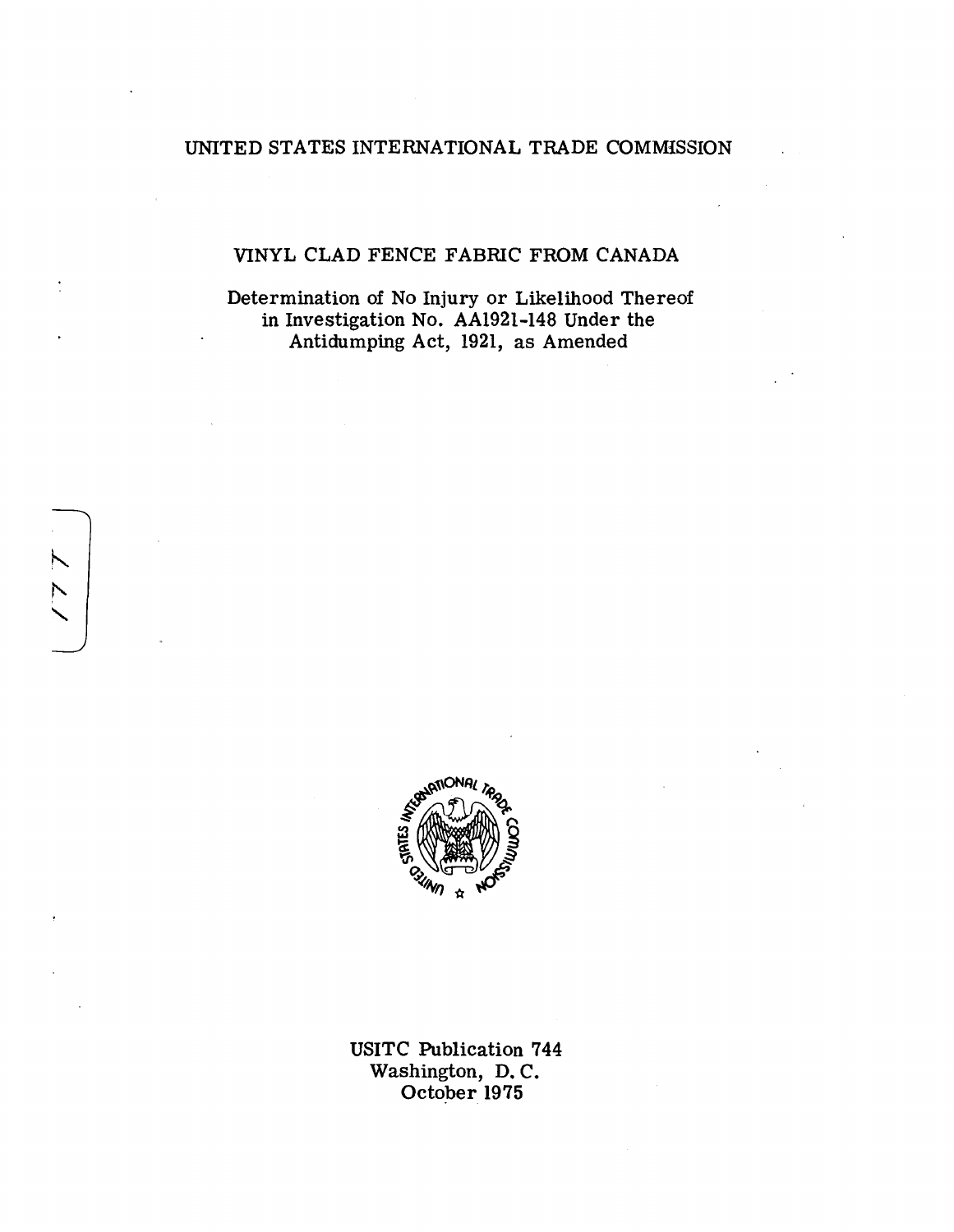# UNITED STATES INTERNATIONAL TRADE COMMISSION

# VINYL CLAD FENCE FABRIC FROM CANADA

Determination of No Injury or Likelihood Thereof in Investigation No. AA1921-148 Under the Antidumping Act, 1921, as Amended



USITC Publication 7 44 Washington, D. C. October 1975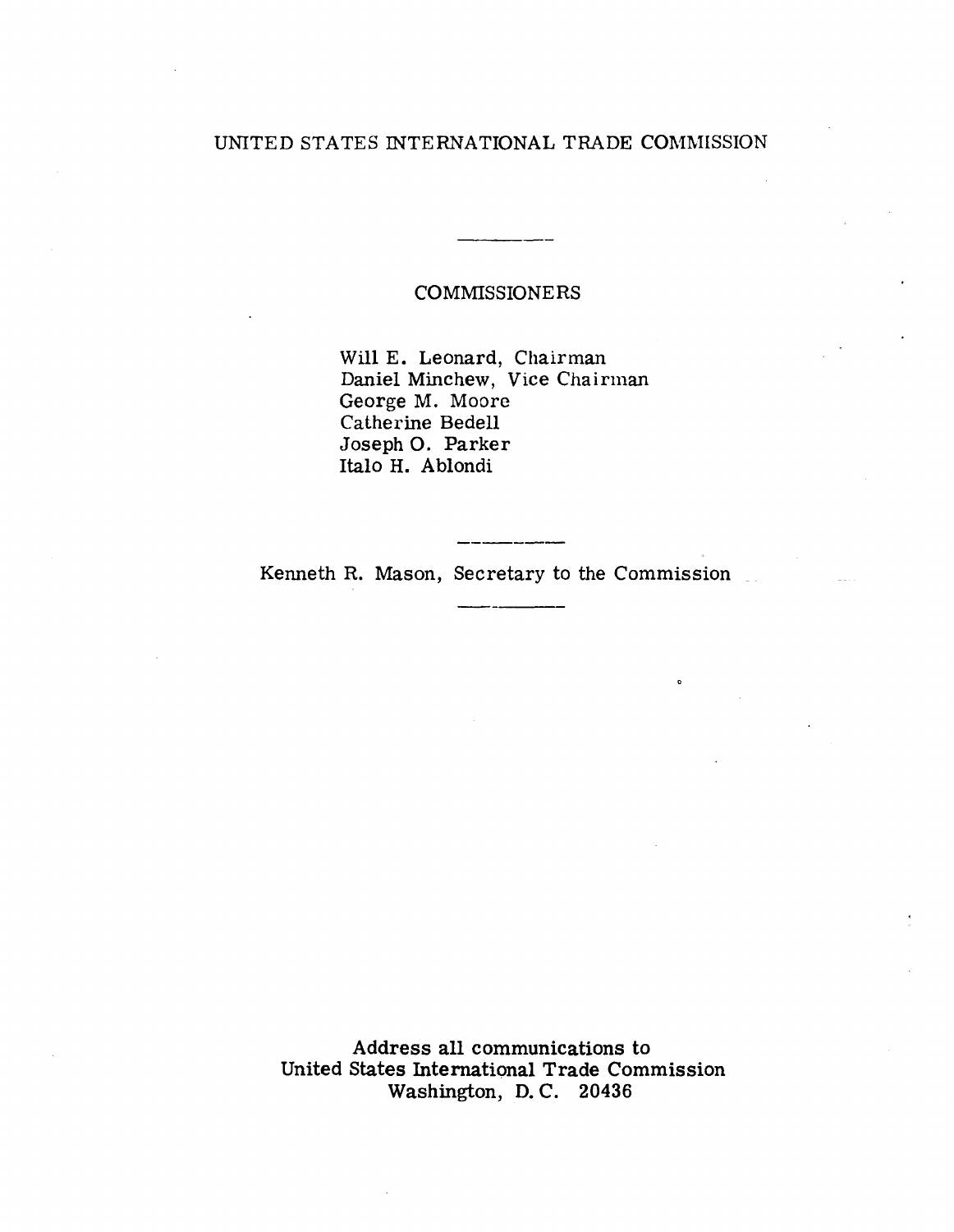# UNITED STATES INTERNATIONAL TRADE COMMISSION

# COMMISSIONERS

Will E. Leonard, Chairman Daniel Minchew, Vice Chairman George M. Moore Catherine Bedell JosephO. Parker Italo H. Ablondi

Kenneth R. Mason, Secretary to the Commission

Address all communications to United States International Trade Commission Washington, D. C. 20436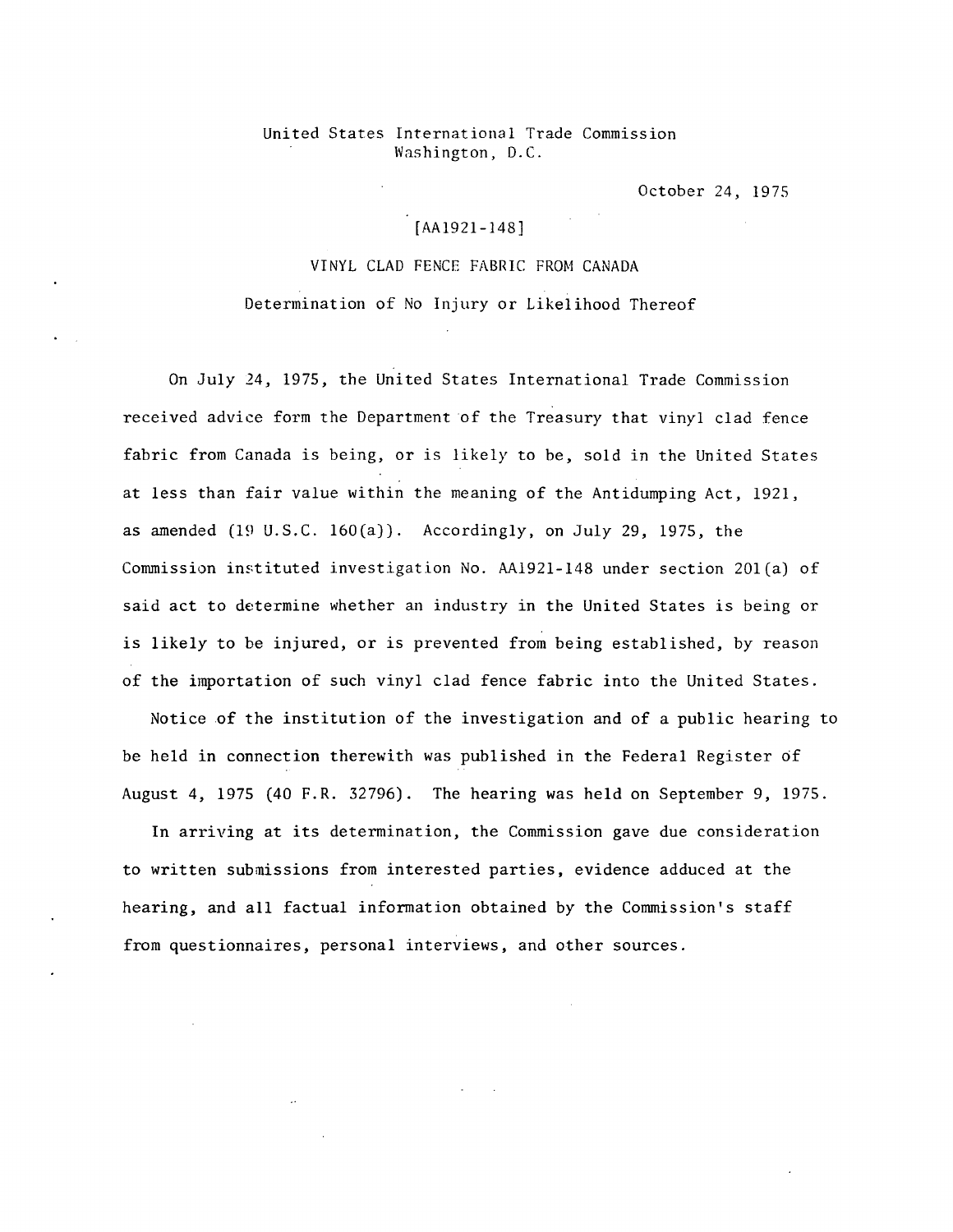## United States International Trade Commission Washington, D.C.

October 24, 197S

# [AA1921-148]

VINYL CLAD FENCE FABRIC FROM CANADA Determination of No Injury or Likelihood Thereof

On July 24, 1975, the United States International Trade Commission received advice form the Department of the Treasury that vinyl clad fence fabric from Canada is being, or is likely to be, sold in the United States at less than fair value within the meaning of the Antidumping Act, 1921, as amended (19 U.S.C. 160(a)). Accordingly, on July 29, 1975, the Commission instituted investigation No. AA1921-148 under section 201 $(a)$  of said act to determine whether an industry in the United States is being or is likely to be injured, or is prevented from being established, by reason of the importation of such vinyl clad fence fabric into the United States.

Notice of the institution of the investigation and of a public hearing to be held in connection therewith was published in the Federal Register of August 4, 1975 (40 F.R. 32796). The hearing was held on September 9, 1975.

In arriving at its determination, the Commission gave due consideration to written submissions from interested parties, evidence adduced at the hearing, and all factual information obtained by the Commission's staff from questionnaires, personal interviews, and other sources.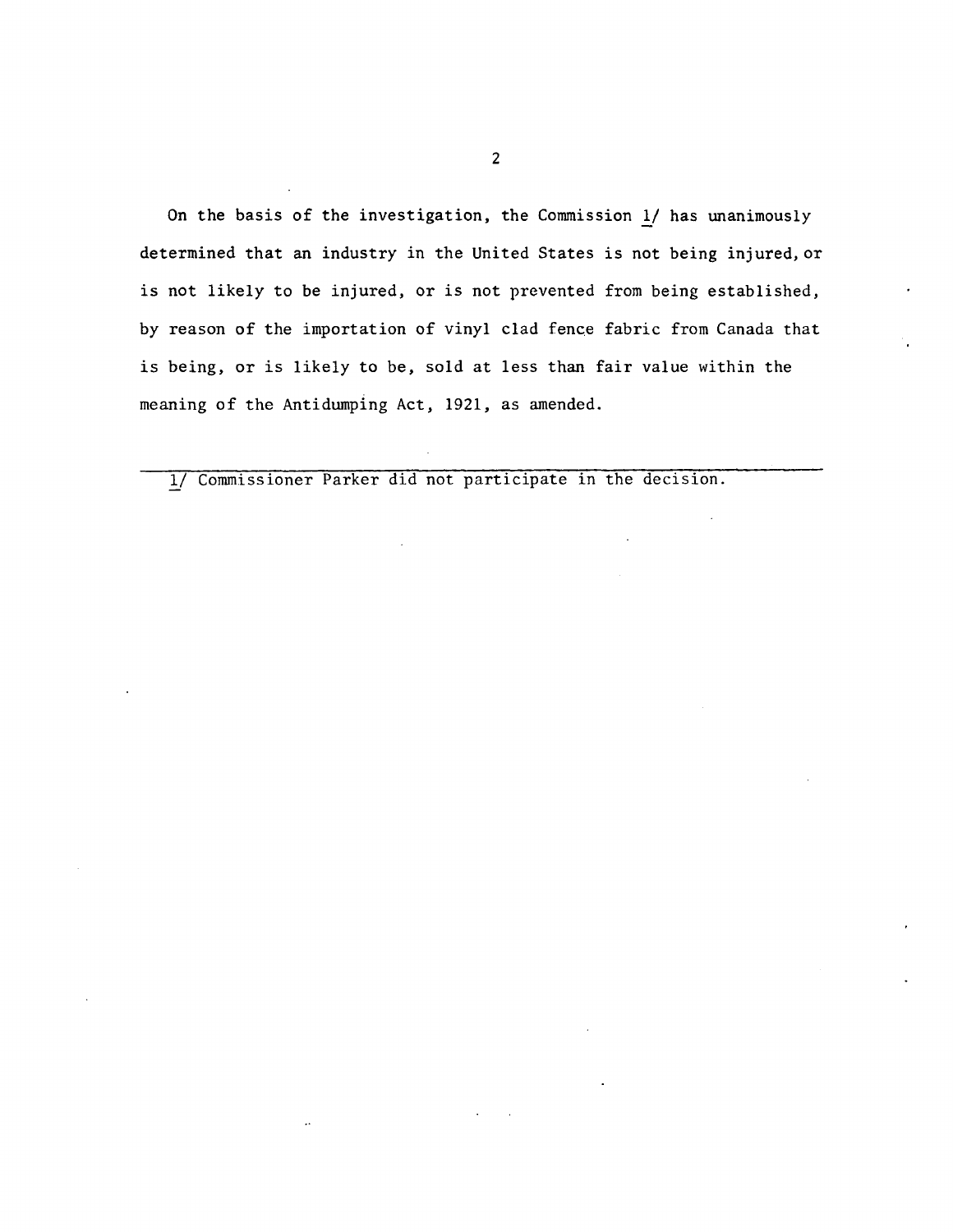On the basis of the investigation, the Commission *]}* has unanimously determined that an industry in the United States is not being injured, or is not likely to be injured, or is not prevented from being established, by reason of the importation of vinyl clad fence fabric from Canada that is being, or is likely to be, sold at less than fair value within the meaning of the Antidumping Act, 1921, as amended.

1/ Commissioner Parker did not participate in the decision.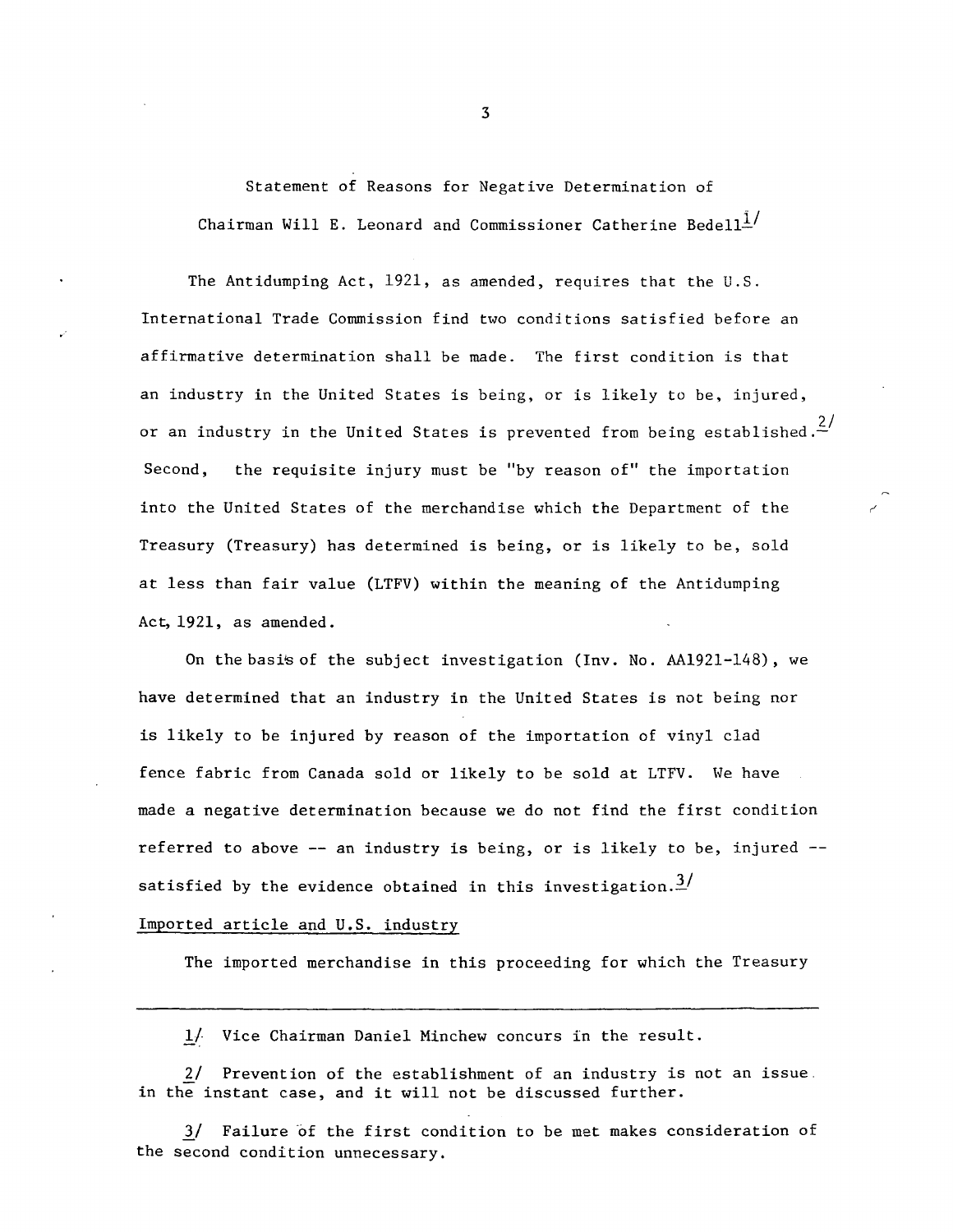Statement of Reasons for Negative Determination of Chairman Will E. Leonard and Commissioner Catherine Bedell $1/1$ 

The Antidumping Act, 1921, as amended, requires that the U.S. International Trade Commission find two conditions satisfied before an affirmative determination shall be made. The first condition is that an industry in the United States is being, or is likely to be, injured, or an industry in the United States is prevented from being established. $\frac{2}{\cdot}$ Second, the requisite injury must be "by reason of" the importation into the United States of the merchandise which the Department of the Treasury (Treasury) has determined is being, or is likely to be, sold at less than fair value (LTFV) within the meaning of the Antidumping Act, 1921, as amended.

On the basis of the subject investigation (Inv. No. AA1921-148), we have determined that an industry in the United States is not being nor is likely to be injured by reason of the importation of vinyl clad fence fabric from Canada sold or likely to be sold at LTFV. We have made a negative determination because we do not find the first condition referred to above -- an industry is being, or is likely to be, injured - satisfied by the evidence obtained in this investigation.<sup>3/</sup>

## Imported article and U.S. industry

The imported merchandise in this proceeding for which the Treasury

l/- Vice Chairman Daniel Minchew concurs in the result.

2/ Prevention of the establishment of an industry is not an issue. in the instant case, and it will not be discussed further.

3/ Failure of the first condition to be met makes consideration of the second condition unnecessary.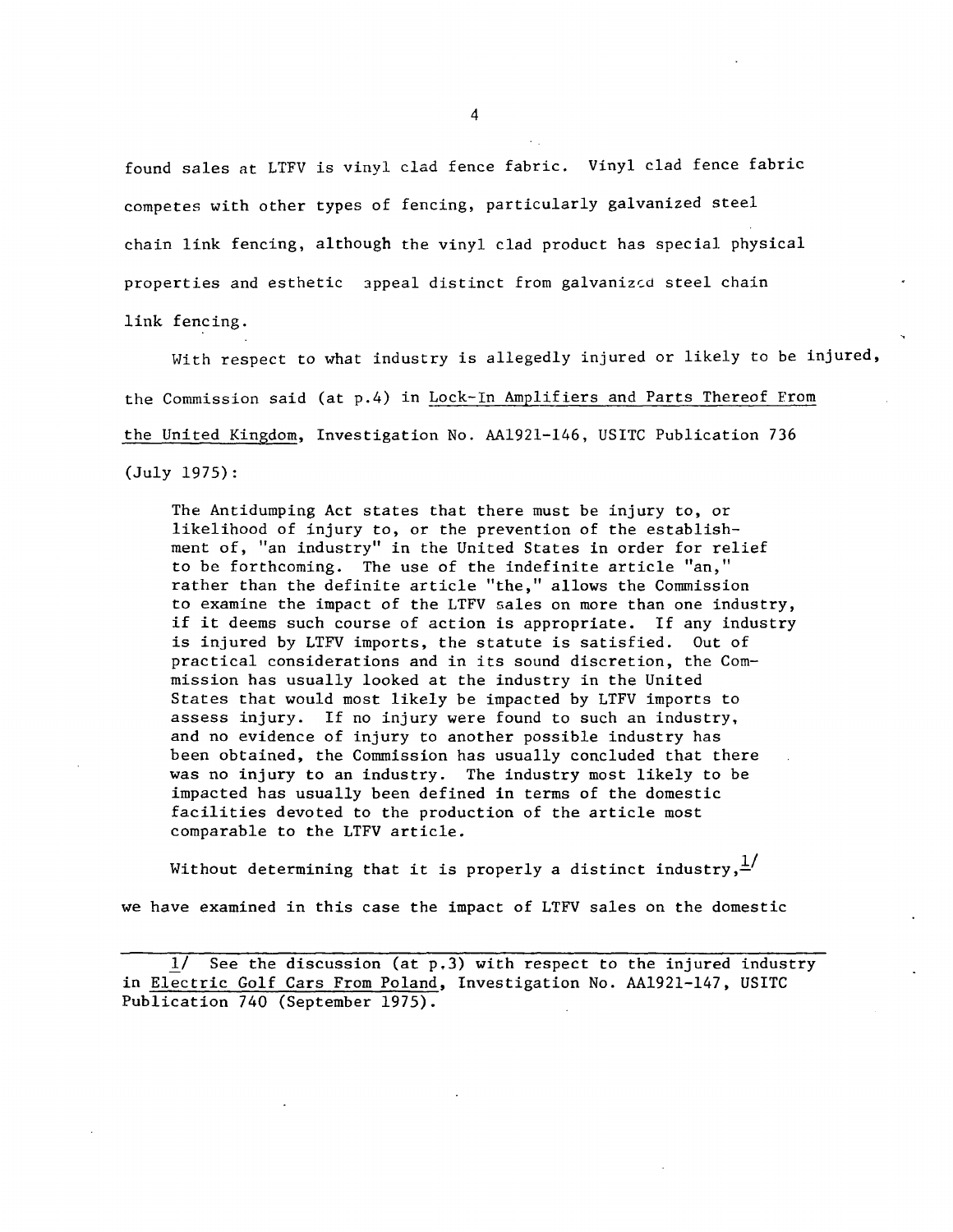found sales at LTFV is vinyl clad fence fabric. Vinyl clad fence fabric competes with other types of fencing, particularly galvanized steel chain link fencing, although the vinyl clad product has special physical properties and esthetic appeal distinct from galvanized steel chain link fencing.

With respect to what industry is allegedly injured or likely to be injured, the Commission said (at p.4) in Lock-In Amplifiers and Parts Thereof From the United Kingdom, Investigation No. AA1921-146, USITC Publication 736 (July 1975):

The Antidumping Act states that there must be injury to, or likelihood of injury to, or the prevention of the establishment of, "an industry" in the United States in order for relief to be forthcoming. The use of the indefinite article "an," rather than the definite article "the," allows the Commission to examine the impact of the LTFV sales on more than one industry, if it deems such course of action is appropriate. If any industry is injured by LTFV imports, the statute is satisfied. Out of practical considerations and in its sound discretion, the Commission has usually looked at the industry in the United States that would most likely be impacted by LTFV imports to assess injury. If no injury were found to such an industry, and no evidence of injury to another possible industry has been obtained, the Commission has usually concluded that there was no injury to an industry. The industry most likely to be impacted has usually been defined in terms of the domestic facilities devoted to the production of the article most comparable to the LTFV article.

Without determining that it is properly a distinct industry,  $\frac{1}{2}$ we have examined in this case the impact of LTFV sales on the domestic

See the discussion (at  $p.3$ ) with respect to the injured industry in Electric Golf Cars From Poland, Investigation No. AA1921-147, USITC Publication 740 (September 1975).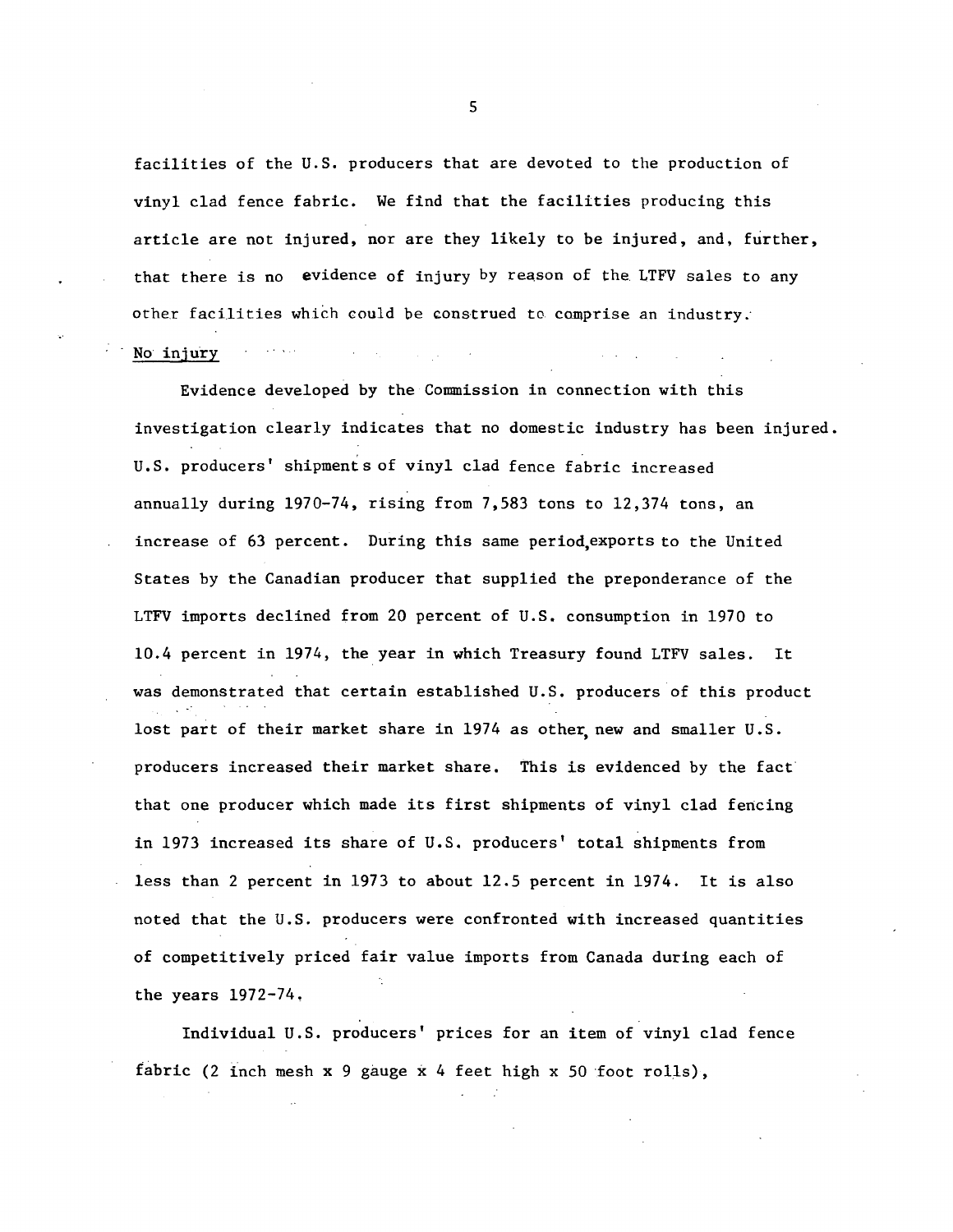facilities of the U.S. producers that are devoted to the production of vinyl clad fence fabric. We find that the facilities producing this article are not injured, nor are they likely to be injured, and, further, that there is no evidence of injury by reason of the. LTFV sales to any other facilities which could be construed to comprise an industry.

 $\mathcal{L}^{\mathcal{L}}$  and  $\mathcal{L}^{\mathcal{L}}$  are the set of the set of  $\mathcal{L}^{\mathcal{L}}$ 

#### No injury

Evidence developed by the Commission in connection with this investigation clearly indicates that no domestic industry has been injured. U.S. producers' shipments of vinyl clad fence fabric increased annually during 1970-74, rising from 7,583 tons to 12,374 tons, an increase of 63 percent. During this same period,exports to the United States by the Canadian producer that supplied the preponderance of the LTFV imports declined from 20 percent of U.S. consumption in 1970 to 10.4 percent in 1974, the year in which Treasury found LTFV sales. It was demonstrated that certain established U.S. producers of this product lost part of their market share in  $1974$  as other new and smaller  $U.S.$ producers increased their market share. This is evidenced by the fact that one producer which made its first shipments of vinyl clad fencing in 1973 increased its share of U.S. producers' total shipments from less than 2 percent in 1973 to about 12.5 percent in 1974. It is also noted that the U.S. producers were confronted with increased quantities of competitively priced fair value imports from Canada during each of the years 1972-74,

Individual U.S. producers' prices for an item of vinyl clad fence fabric (2 inch mesh x 9 gauge x 4 feet high x 50 foot rolls),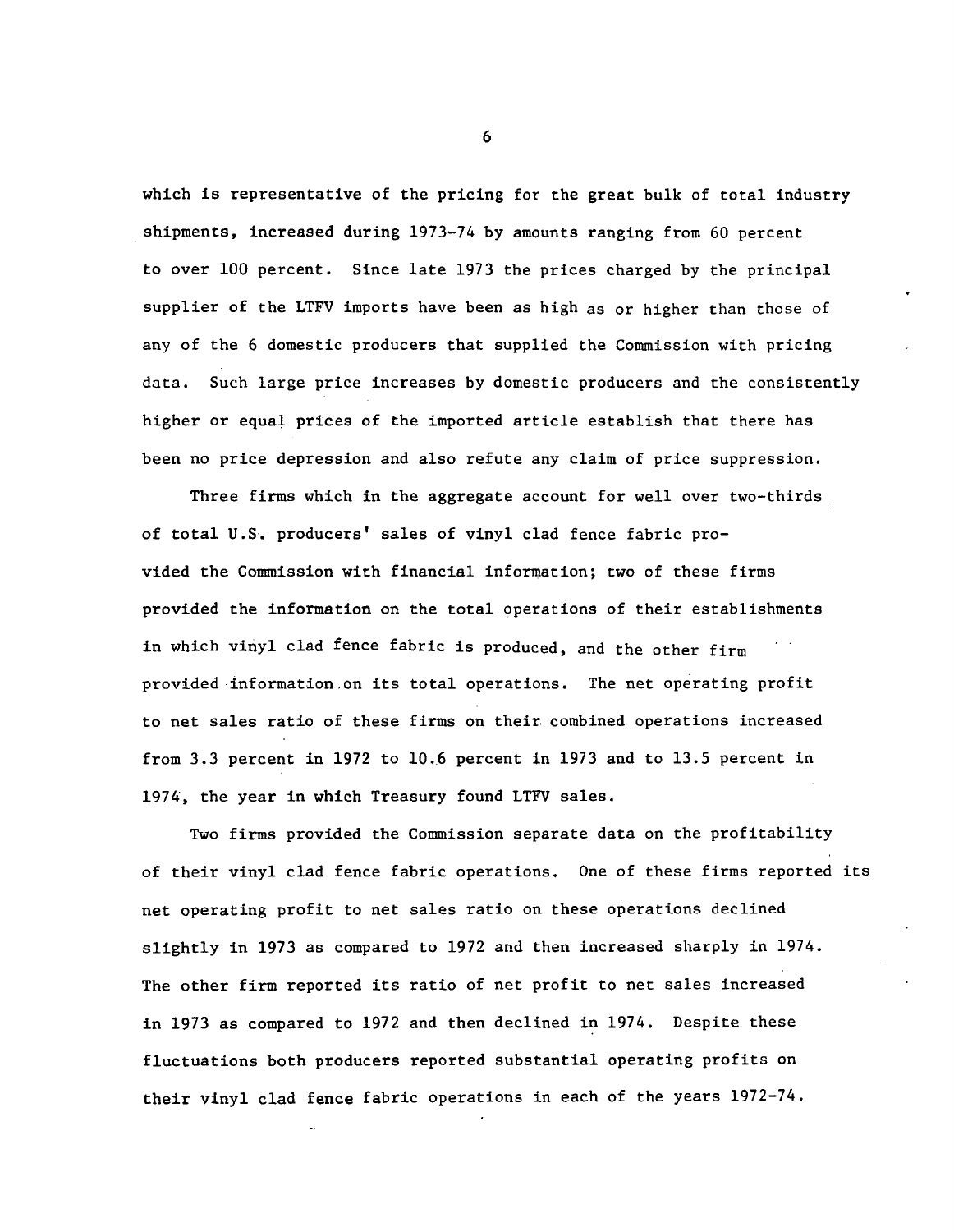which is representative of the pricing for the great bulk of total industry shipments, increased during 1973-74 by amounts ranging from 60 percent to over 100 percent. Since late 1973 the prices charged by the principal supplier of the LTFV imports have been as high as or higher than those of any of the 6 domestic producers that supplied the Commission with pricing data. Such large price increases by domestic producers and the consistently higher or equal prices of the imported article establish that there has been no price depression and also refute any claim of price suppression.

Three firms which in the aggregate account for well over two-thirds of total U.S·. producers' sales of vinyl clad fence fabric provided the Connnission with financial information; two of these firms provided the information on the total operations of their establishments in which vinyl clad fence fabric is produced, and the other firm provided ·information.on its total operations. The net operating profit to net sales ratio of these firms on their combined operations increased from 3.3 percent in 1972 to 10.6 percent in 1973 and to 13.5 percent in 1974, the year in which Treasury found LTFV sales.

Two firms provided the Commission separate data on the profitability of their vinyl clad fence fabric operations, One of these firms reported its net operating profit to net sales ratio on these operations declined slightly in 1973 as compared to 1972 and then increased sharply in 1974. The other firm reported its ratio of net profit to net sales increased in 1973 as compared to 1972 and then declined in 1974. Despite these fluctuations both producers reported substantial operating profits on their vinyl clad fence fabric operations in each of the years 1972-74.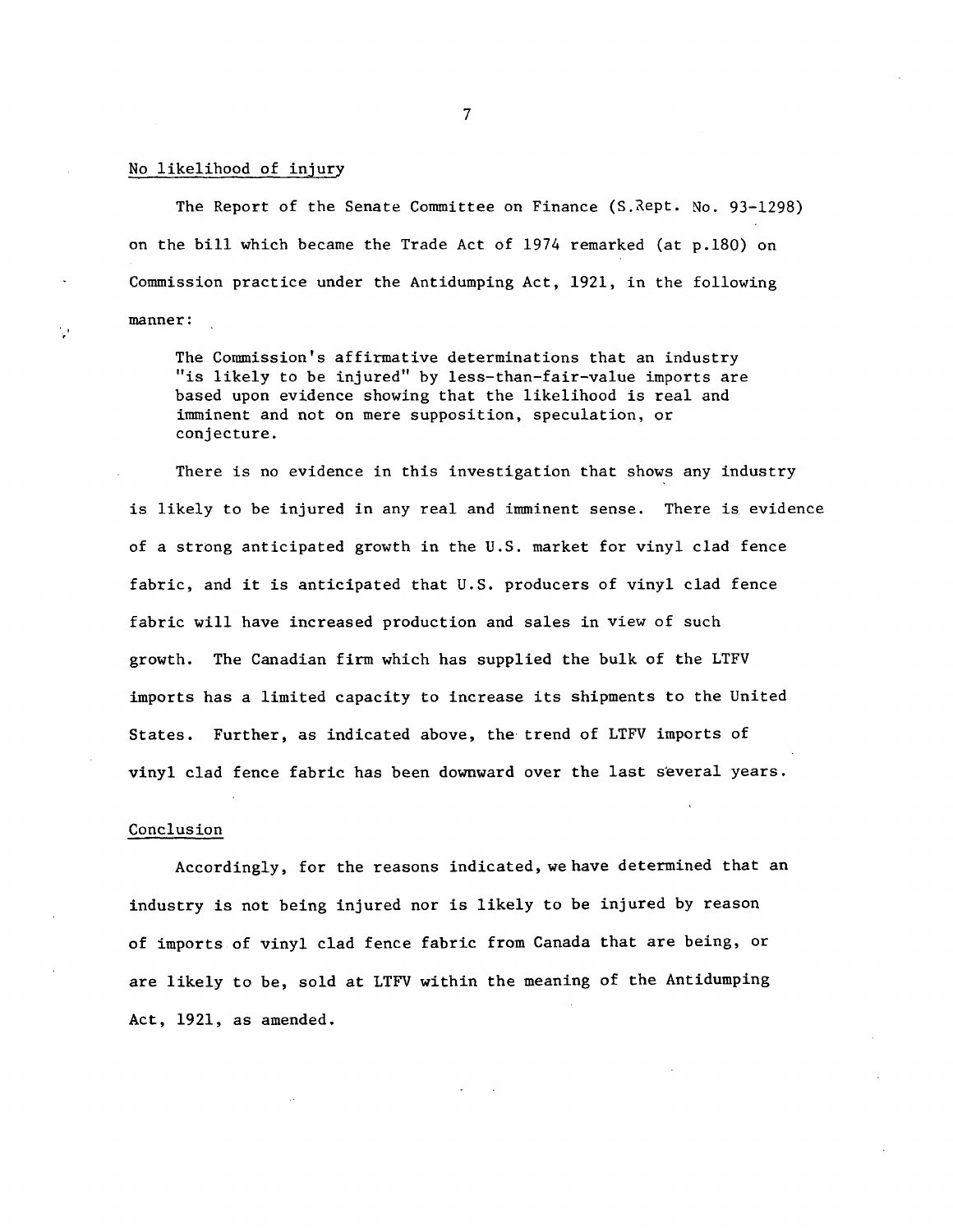#### No likelihood of injury

. '

The Report of the Senate Committee on Finance (S. Rept. No. 93-1298) on the bill which became the Trade Act of 1974 remarked (at p.180) on Commission practice under the Antidumping Act, 1921, in the following manner:

The Commission's affirmative determinations that an industry "is likely to be injured" by less-than-fair-value imports are based upon evidence showing that the likelihood is real and imminent and not on mere supposition, speculation, or conjecture.

There is no evidence in this investigation that shows any industry is likely to be injured in any real and imminent sense. There is evidence of a strong anticipated growth in the U.S. market for vinyl clad fence fabric, and it is anticipated that U.S. producers of vinyl clad fence fabric will have increased production and sales in view of such growth. The Canadian firm which has supplied the bulk of the LTFV imports has a limited capacity to increase its shipments to the United States. Further, as indicated above, the trend of LTFV imports of vinyl clad fence fabric has been downward over the last s'everal years.

#### Conclusion

Accordingly, for the reasons indicated, we have determined that an industry is not being injured nor is likely to be injured by reason of imports of vinyl clad fence fabric from Canada that are being, or are likely to be, sold at LTFV within the meaning of the Antidumping Act, 1921, as amended.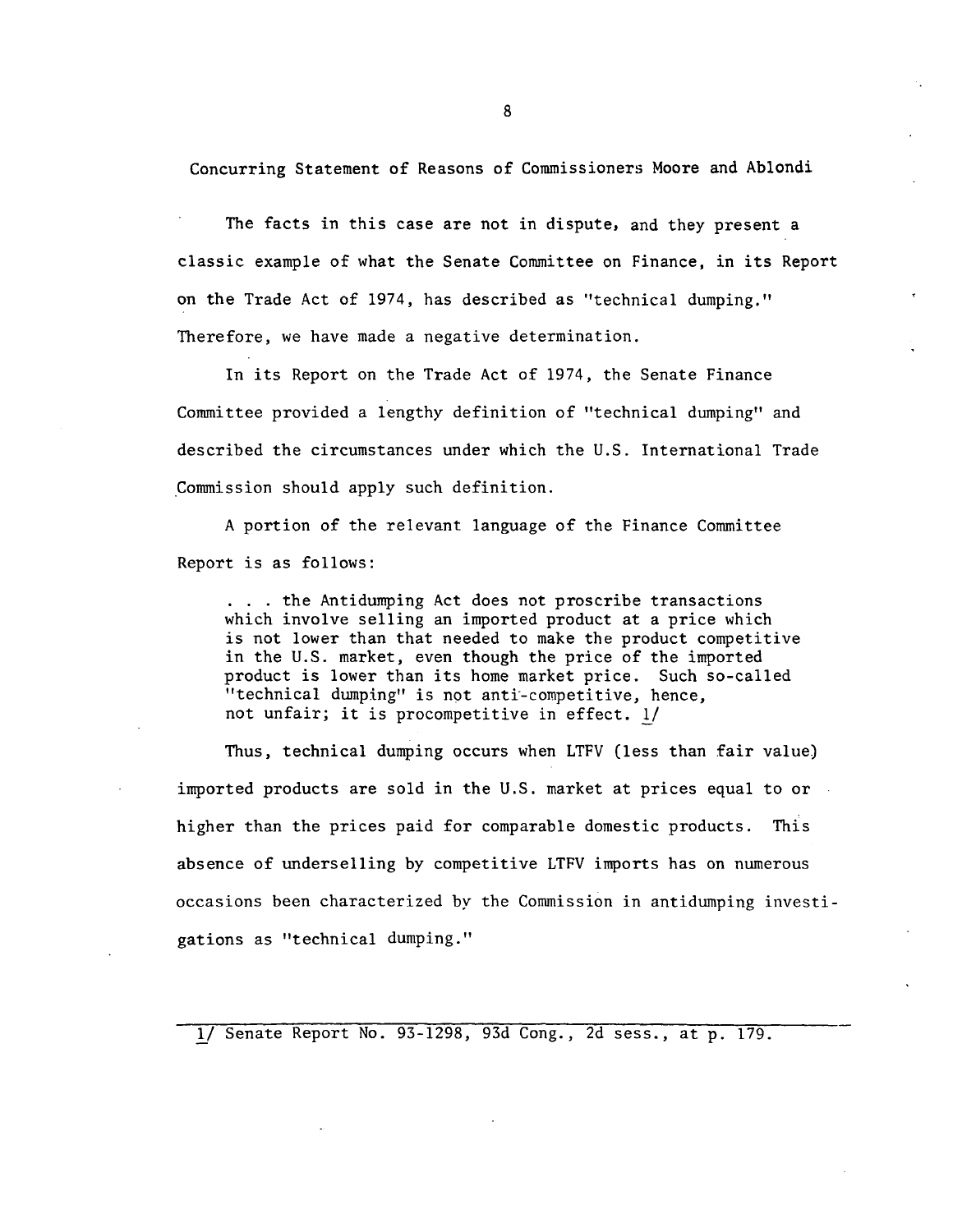Concurring Statement of Reasons of Commissioners Moore and Ablondi

The facts in this case are not in dispute, and they present a classic example of what the Senate Committee on Finance, in its Report on the Trade Act of 1974, has described as ''technical dumping." Therefore, we have made a negative determination.

In its Report on the Trade Act of 1974, the Senate Finance Committee provided a lengthy definition of "technical dumping" and described the circumstances under which the U.S. International Trade Commission should apply such definition.

A portion of the relevant language of the Finance Committee Report is as follows:

. . the Antidumping Act does not proscribe transactions which involve selling an imported product at a price which is not lower than that needed to make the product competitive in the U.S. market, even though the price of the imported product is lower than its home market price. Such so-called "technical dumping" is not anti-competitive, hence, not unfair; it is procompetitive in effect. !/

Thus, technical dumping occurs when LTFV (less than fair value) imported products are sold in the U.S. market at prices equal to or  $\overline{\phantom{a}}$ higher than the prices paid for comparable domestic products. This absence of underselling by competitive LTFV imports has on numerous occasions been characterized by the Commission in antidumping investigations as "technical dumping."

lf Senate Report No. 93-1298, 93d Cong., 2d sess., at p. 179.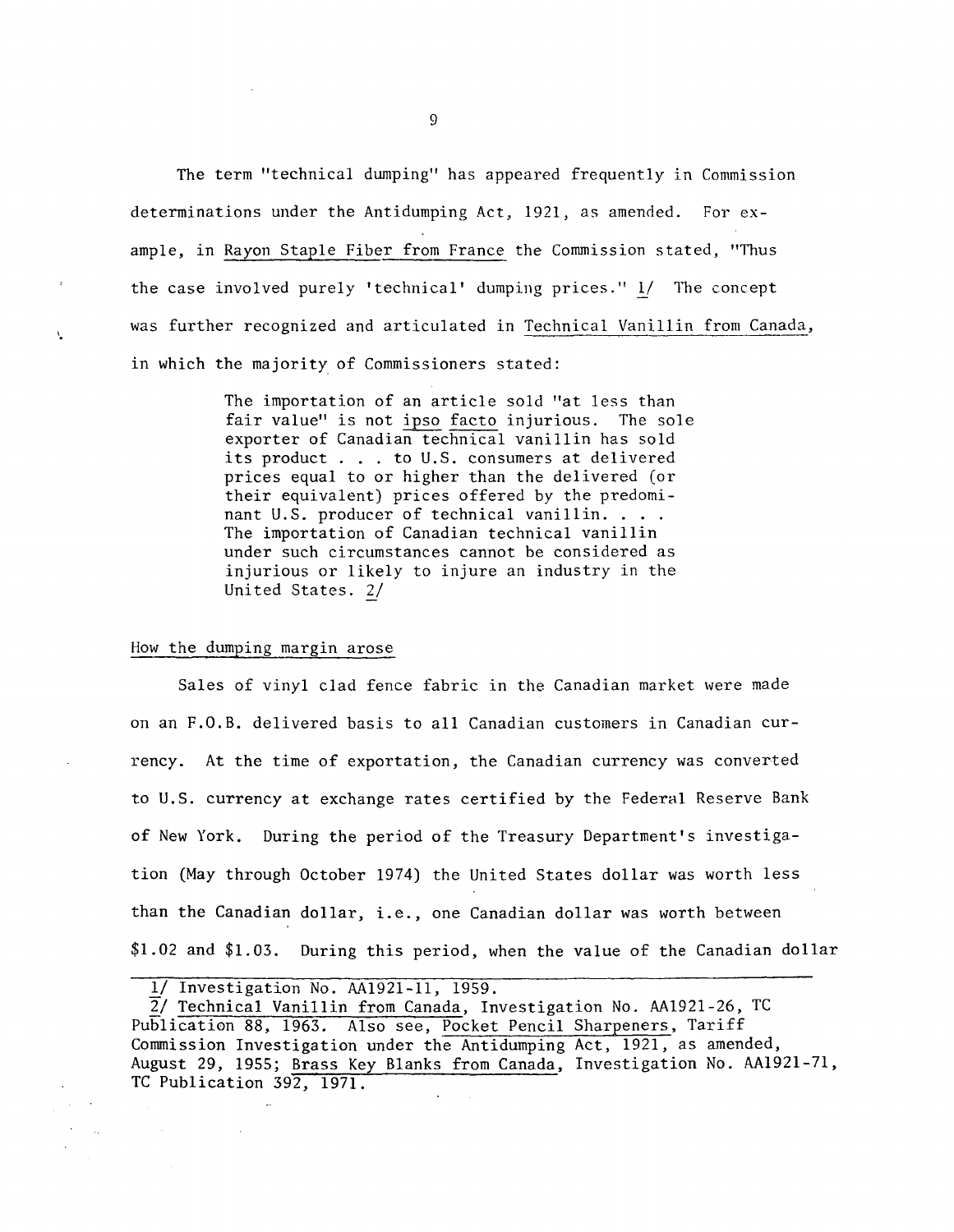The term "technical dumping" has appeared frequently in Commission determinations under the Antidumping Act, 1921, as amended. For example, in Rayon Staple Fiber from France the Commission stated, "Thus the case involved purely 'technical' dumping prices." *ij* The concept was further recognized and articulated in Technical Vanillin from Canada, in which the majority of Commissioners stated:

> The importation of an article sold "at less than fair value" is not ipso facto injurious. The sole exporter of Canadian technical vanillin has sold its product ... to U.S. consumers at delivered prices equal to or higher than the delivered (or prices equal to of higher than the derivered (of<br>their equivalent) prices offered by the predomi-<br>nant U.S. producer of technical vanillin.... The importation of Canadian technical vanillin under such circumstances cannot be considered as injurious or likely to injure an industry in the United States. 2/

## How the dumping margin arose

'·

Sales of vinyl clad fence fabric in the Canadian market were made on an F.O.B. delivered basis to all Canadian customers in Canadian currency. At the time of exportation, the Canadian currency was converted to U.S. currency at exchange rates certified by the Federal Reserve Bank of New York. During the period of the Treasury Department's investigation (May through October 1974) the United States dollar was worth less than the Canadian dollar, i.e., one Canadian dollar was worth between \$1.02 and \$1.03. During this period, when the value of the Canadian dollar

| 1/ Investigation No. AA1921-11, 1959. |  |  |
|---------------------------------------|--|--|
|                                       |  |  |
|                                       |  |  |

 $\sim$ 

2/ Technical Vanillin from Canada, Investigation No. AA1921-26, TC Publication 88, 1963. Also see, Pocket Pencil Sharpeners, Tariff Commission Investigation under the Antidumping Act, 1921, as amended, August 29, 1955; Brass Key Blanks from Canada, Investigation No. AA1921-71, TC Publication 392, 1971.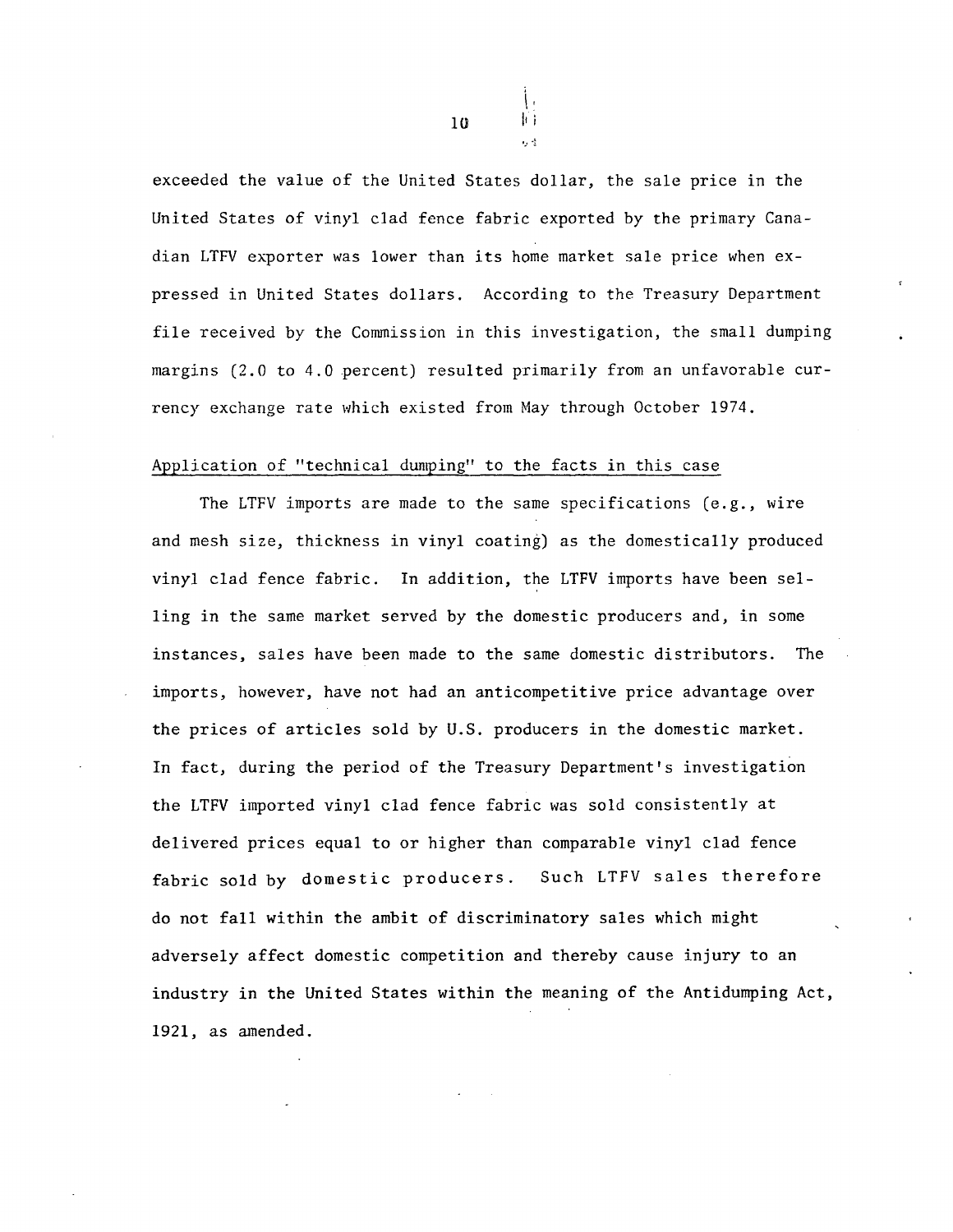exceeded the value of the United States dollar, the sale price in the United States of vinyl clad fence fabric exported by the primary Canadian LTFV exporter was lower than its home market sale price when expressed in United States dollars. According to the Treasury Department file received by the Commission in this investigation, the small dumping margins (2.0 to 4.0 percent) resulted primarily from an unfavorable currency exchange rate which existed from May through October 1974.

### Application of "technical dumping" to the facts in this case

The LTFV imports are made to the same specifications (e.g., wire and mesh size, thickness in vinyl coating) as the domestically produced vinyl clad fence fabric. In addition, the LTFV imports have been selling in the same market served by the domestic producers and, in some instances, sales have been made to the same domestic distributors. The imports, however, have not had an anticompetitive price advantage over the prices of articles sold by U.S. producers in the domestic market. In fact, during the period of the Treasury Department's investigation the LTFV imported vinyl clad fence fabric was sold consistently at delivered prices equal to or higher than comparable vinyl clad fence fabric sold by domestic producers. Such LTFV sales therefore do not fall within the ambit of discriminatory sales which might adversely affect domestic competition and thereby cause injury to an industry in the United States within the meaning of the Antidumping Act, 1921, as amended.

 $10$   $\mathbb{I}$  ii

 $\mathbf{l}$  .

 $1, -\frac{1}{2}$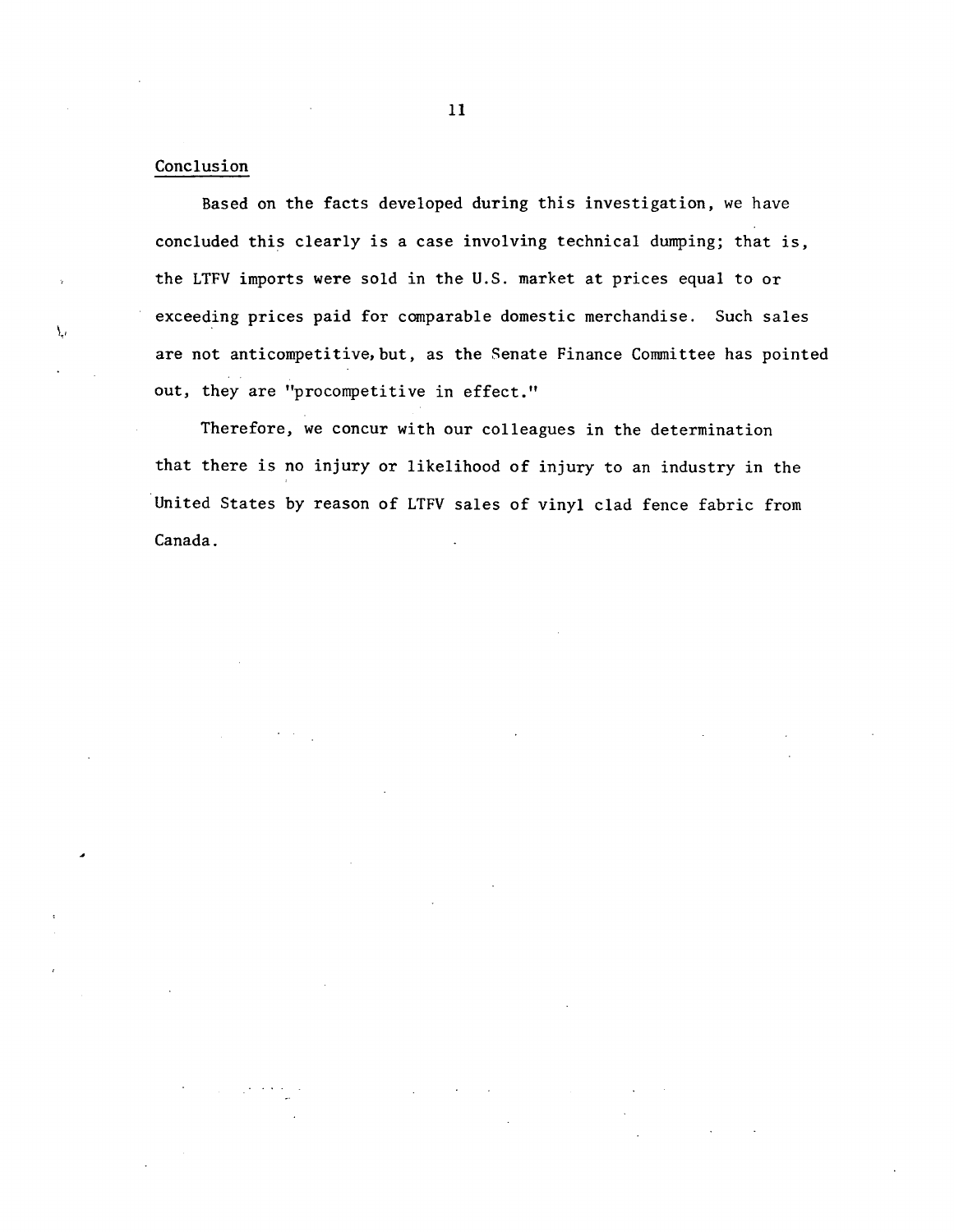## Conclusion

۱.,

Based on the facts developed during this investigation, we have concluded this clearly is a case involving technical dumping; that is, the LTFV imports were sold in the U.S. market at prices equal to or exceeding prices paid for comparable domestic merchandise. Such sales are not anticompetitive, but, as the Senate Finance Committee has pointed out, they are "procompetitive in effect."

Therefore, we concur with our colleagues in the determination that there is no injury or likelihood of injury to an industry in the United States by reason of LTFV sales of vinyl clad fence fabric from Canada.